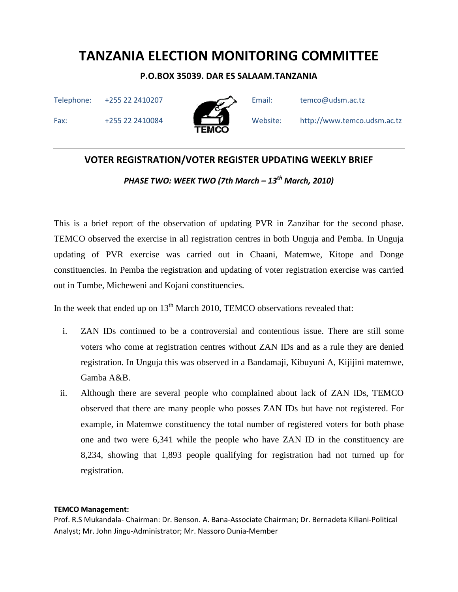### P.O.BOX 35039. DAR ES SALAAM.TANZANIA

Telephone: +255 22 2410207 Email: temco@udsm.ac.tz





Fax: +255 22 2410084 Website: http://www.temco.udsm.ac.tz

# VOTER REGISTRATION/VOTER REGISTER UPDATING WEEKLY BRIEF

PHASE TWO: WEEK TWO (7th March –  $13^{th}$  March, 2010)

This is a brief report of the observation of updating PVR in Zanzibar for the second phase. TEMCO observed the exercise in all registration centres in both Unguja and Pemba. In Unguja updating of PVR exercise was carried out in Chaani, Matemwe, Kitope and Donge constituencies. In Pemba the registration and updating of voter registration exercise was carried out in Tumbe, Micheweni and Kojani constituencies.

In the week that ended up on  $13<sup>th</sup>$  March 2010, TEMCO observations revealed that:

- i. ZAN IDs continued to be a controversial and contentious issue. There are still some voters who come at registration centres without ZAN IDs and as a rule they are denied registration. In Unguja this was observed in a Bandamaji, Kibuyuni A, Kijijini matemwe, Gamba A&B.
- ii. Although there are several people who complained about lack of ZAN IDs, TEMCO observed that there are many people who posses ZAN IDs but have not registered. For example, in Matemwe constituency the total number of registered voters for both phase one and two were 6,341 while the people who have ZAN ID in the constituency are 8,234, showing that 1,893 people qualifying for registration had not turned up for registration.

#### TEMCO Management: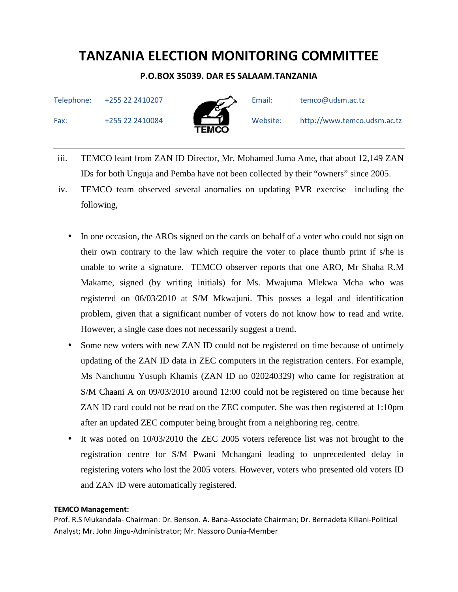### P.O.BOX 35039. DAR ES SALAAM.TANZANIA

Telephone: +255 22 2410207 Email: temco@udsm.ac.tz

Fax: +255 22 2410084 Website: http://www.temco.udsm.ac.tz



iii. TEMCO leant from ZAN ID Director, Mr. Mohamed Juma Ame, that about 12,149 ZAN IDs for both Unguja and Pemba have not been collected by their "owners" since 2005.

- iv. TEMCO team observed several anomalies on updating PVR exercise including the following,
	- In one occasion, the AROs signed on the cards on behalf of a voter who could not sign on their own contrary to the law which require the voter to place thumb print if s/he is unable to write a signature. TEMCO observer reports that one ARO, Mr Shaha R.M Makame, signed (by writing initials) for Ms. Mwajuma Mlekwa Mcha who was registered on 06/03/2010 at S/M Mkwajuni. This posses a legal and identification problem, given that a significant number of voters do not know how to read and write. However, a single case does not necessarily suggest a trend.
	- Some new voters with new ZAN ID could not be registered on time because of untimely updating of the ZAN ID data in ZEC computers in the registration centers. For example, Ms Nanchumu Yusuph Khamis (ZAN ID no 020240329) who came for registration at S/M Chaani A on 09/03/2010 around 12:00 could not be registered on time because her ZAN ID card could not be read on the ZEC computer. She was then registered at 1:10pm after an updated ZEC computer being brought from a neighboring reg. centre.
	- It was noted on  $10/03/2010$  the ZEC 2005 voters reference list was not brought to the registration centre for S/M Pwani Mchangani leading to unprecedented delay in registering voters who lost the 2005 voters. However, voters who presented old voters ID and ZAN ID were automatically registered.

#### TEMCO Management: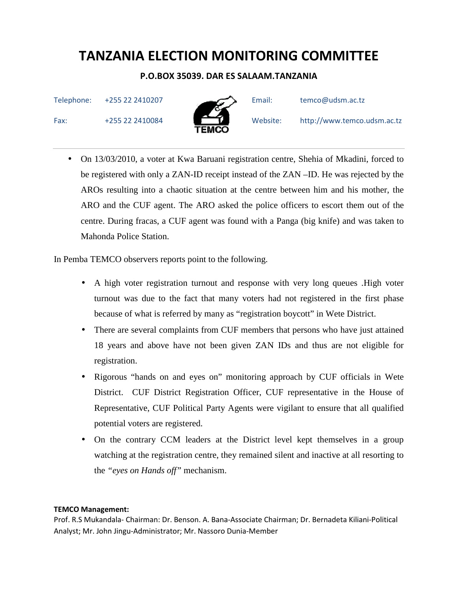### P.O.BOX 35039. DAR ES SALAAM.TANZANIA

Telephone: +255 22 2410207 Email: temco@udsm.ac.tz



• On 13/03/2010, a voter at Kwa Baruani registration centre, Shehia of Mkadini, forced to be registered with only a ZAN-ID receipt instead of the ZAN –ID. He was rejected by the AROs resulting into a chaotic situation at the centre between him and his mother, the ARO and the CUF agent. The ARO asked the police officers to escort them out of the centre. During fracas, a CUF agent was found with a Panga (big knife) and was taken to Mahonda Police Station.

In Pemba TEMCO observers reports point to the following.

- A high voter registration turnout and response with very long queues .High voter turnout was due to the fact that many voters had not registered in the first phase because of what is referred by many as "registration boycott" in Wete District.
- There are several complaints from CUF members that persons who have just attained 18 years and above have not been given ZAN IDs and thus are not eligible for registration.
- Rigorous "hands on and eyes on" monitoring approach by CUF officials in Wete District. CUF District Registration Officer, CUF representative in the House of Representative, CUF Political Party Agents were vigilant to ensure that all qualified potential voters are registered.
- On the contrary CCM leaders at the District level kept themselves in a group watching at the registration centre, they remained silent and inactive at all resorting to the *"eyes on Hands off"* mechanism.

#### TEMCO Management: